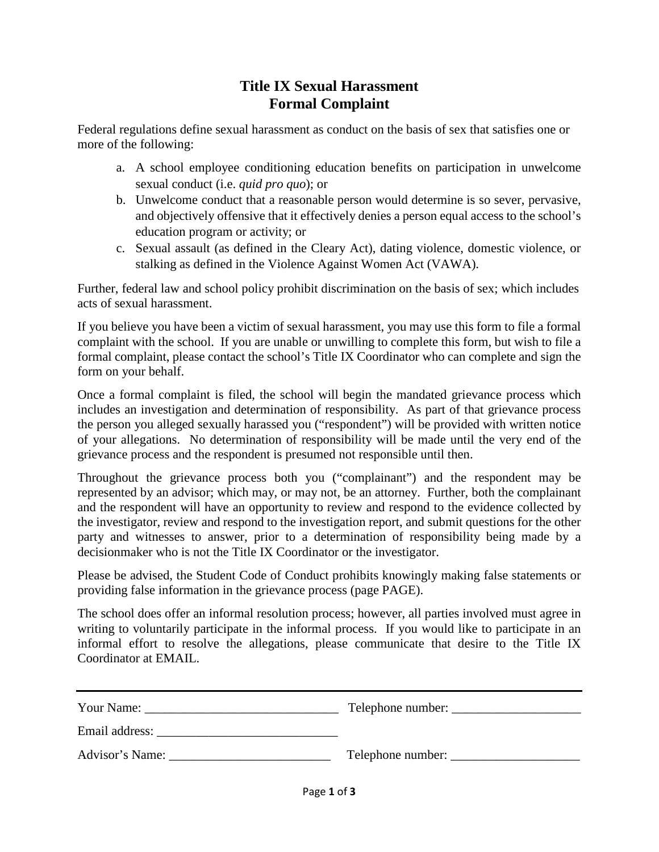## **Title IX Sexual Harassment Formal Complaint**

Federal regulations define sexual harassment as conduct on the basis of sex that satisfies one or more of the following:

- a. A school employee conditioning education benefits on participation in unwelcome sexual conduct (i.e. *quid pro quo*); or
- b. Unwelcome conduct that a reasonable person would determine is so sever, pervasive, and objectively offensive that it effectively denies a person equal access to the school's education program or activity; or
- c. Sexual assault (as defined in the Cleary Act), dating violence, domestic violence, or stalking as defined in the Violence Against Women Act (VAWA).

Further, federal law and school policy prohibit discrimination on the basis of sex; which includes acts of sexual harassment.

If you believe you have been a victim of sexual harassment, you may use this form to file a formal complaint with the school. If you are unable or unwilling to complete this form, but wish to file a formal complaint, please contact the school's Title IX Coordinator who can complete and sign the form on your behalf.

Once a formal complaint is filed, the school will begin the mandated grievance process which includes an investigation and determination of responsibility. As part of that grievance process the person you alleged sexually harassed you ("respondent") will be provided with written notice of your allegations. No determination of responsibility will be made until the very end of the grievance process and the respondent is presumed not responsible until then.

Throughout the grievance process both you ("complainant") and the respondent may be represented by an advisor; which may, or may not, be an attorney. Further, both the complainant and the respondent will have an opportunity to review and respond to the evidence collected by the investigator, review and respond to the investigation report, and submit questions for the other party and witnesses to answer, prior to a determination of responsibility being made by a decisionmaker who is not the Title IX Coordinator or the investigator.

Please be advised, the Student Code of Conduct prohibits knowingly making false statements or providing false information in the grievance process (page PAGE).

The school does offer an informal resolution process; however, all parties involved must agree in writing to voluntarily participate in the informal process. If you would like to participate in an informal effort to resolve the allegations, please communicate that desire to the Title IX Coordinator at EMAIL.

| Your Name:      |                   |
|-----------------|-------------------|
| Email address:  |                   |
| Advisor's Name: | Telephone number: |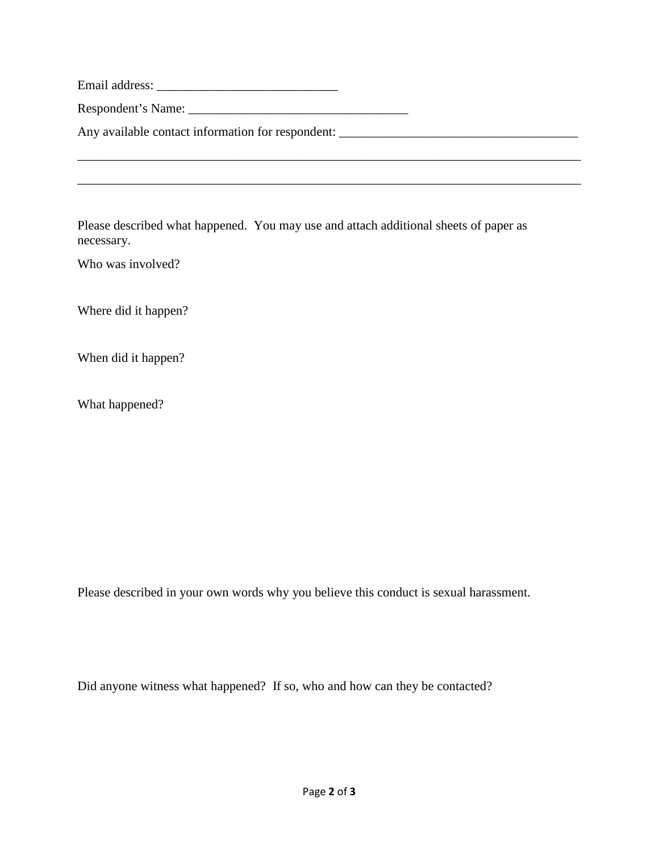| Email address: |  |  |
|----------------|--|--|
|----------------|--|--|

Respondent's Name: \_\_\_\_\_\_\_\_\_\_\_\_\_\_\_\_\_\_\_\_\_\_\_\_\_\_\_\_\_\_\_\_\_\_

Any available contact information for respondent: \_\_\_\_\_\_\_\_\_\_\_\_\_\_\_\_\_\_\_\_\_\_\_\_\_\_\_\_\_\_\_

Please described what happened. You may use and attach additional sheets of paper as necessary.

\_\_\_\_\_\_\_\_\_\_\_\_\_\_\_\_\_\_\_\_\_\_\_\_\_\_\_\_\_\_\_\_\_\_\_\_\_\_\_\_\_\_\_\_\_\_\_\_\_\_\_\_\_\_\_\_\_\_\_\_\_\_\_\_\_\_\_\_\_\_\_\_\_\_\_\_\_\_

\_\_\_\_\_\_\_\_\_\_\_\_\_\_\_\_\_\_\_\_\_\_\_\_\_\_\_\_\_\_\_\_\_\_\_\_\_\_\_\_\_\_\_\_\_\_\_\_\_\_\_\_\_\_\_\_\_\_\_\_\_\_\_\_\_\_\_\_\_\_\_\_\_\_\_\_\_\_

Who was involved?

Where did it happen?

When did it happen?

What happened?

Please described in your own words why you believe this conduct is sexual harassment.

Did anyone witness what happened? If so, who and how can they be contacted?